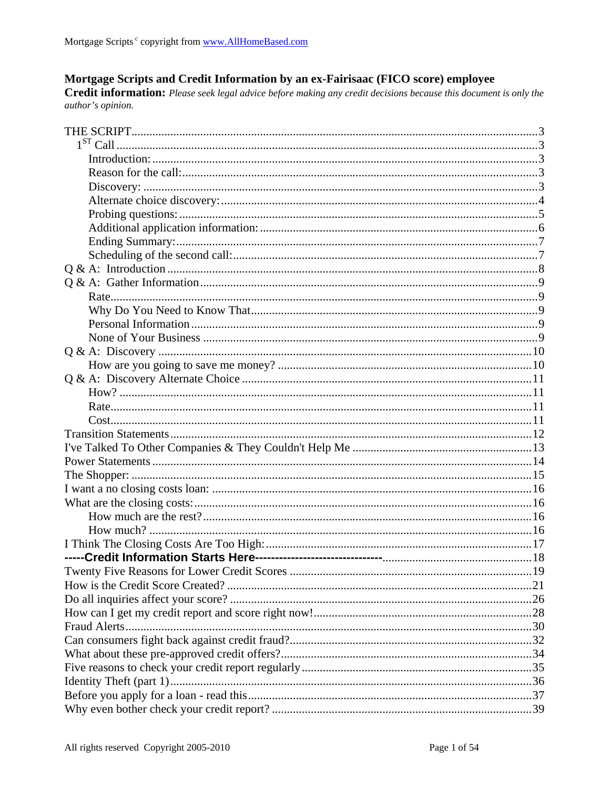## Mortgage Scripts and Credit Information by an ex-Fairisaac (FICO score) employee

Credit information: Please seek legal advice before making any credit decisions because this document is only the author's opinion.